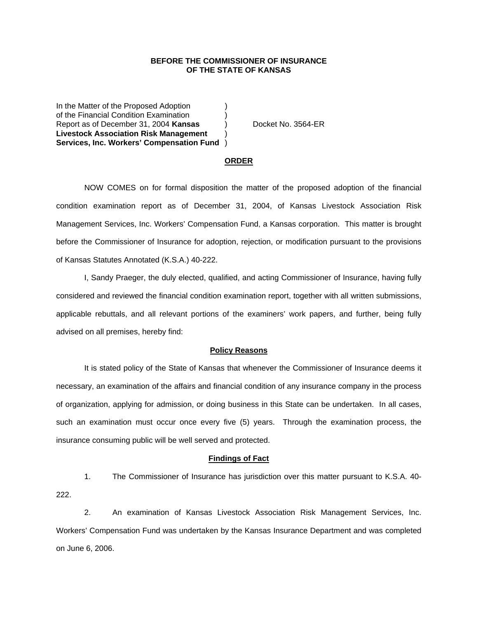# **BEFORE THE COMMISSIONER OF INSURANCE OF THE STATE OF KANSAS**

In the Matter of the Proposed Adoption of the Financial Condition Examination ) Report as of December 31, 2004 **Kansas** ) Docket No. 3564-ER **Livestock Association Risk Management** ) **Services, Inc. Workers' Compensation Fund** )

### **ORDER**

 NOW COMES on for formal disposition the matter of the proposed adoption of the financial condition examination report as of December 31, 2004, of Kansas Livestock Association Risk Management Services, Inc. Workers' Compensation Fund, a Kansas corporation. This matter is brought before the Commissioner of Insurance for adoption, rejection, or modification pursuant to the provisions of Kansas Statutes Annotated (K.S.A.) 40-222.

 I, Sandy Praeger, the duly elected, qualified, and acting Commissioner of Insurance, having fully considered and reviewed the financial condition examination report, together with all written submissions, applicable rebuttals, and all relevant portions of the examiners' work papers, and further, being fully advised on all premises, hereby find:

## **Policy Reasons**

 It is stated policy of the State of Kansas that whenever the Commissioner of Insurance deems it necessary, an examination of the affairs and financial condition of any insurance company in the process of organization, applying for admission, or doing business in this State can be undertaken. In all cases, such an examination must occur once every five (5) years. Through the examination process, the insurance consuming public will be well served and protected.

#### **Findings of Fact**

 1. The Commissioner of Insurance has jurisdiction over this matter pursuant to K.S.A. 40- 222.

 2. An examination of Kansas Livestock Association Risk Management Services, Inc. Workers' Compensation Fund was undertaken by the Kansas Insurance Department and was completed on June 6, 2006.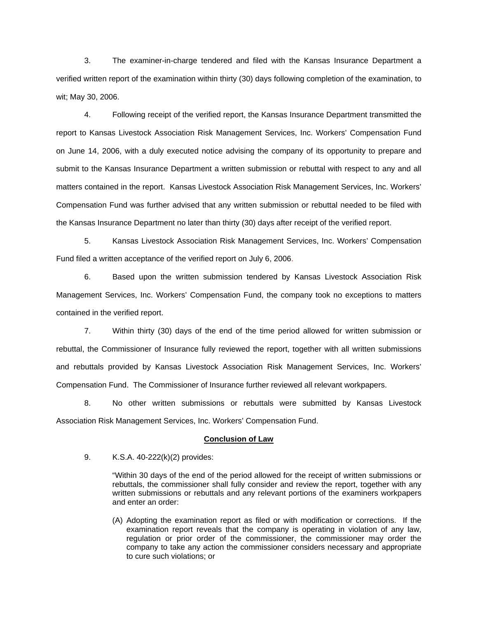3. The examiner-in-charge tendered and filed with the Kansas Insurance Department a verified written report of the examination within thirty (30) days following completion of the examination, to wit; May 30, 2006.

 4. Following receipt of the verified report, the Kansas Insurance Department transmitted the report to Kansas Livestock Association Risk Management Services, Inc. Workers' Compensation Fund on June 14, 2006, with a duly executed notice advising the company of its opportunity to prepare and submit to the Kansas Insurance Department a written submission or rebuttal with respect to any and all matters contained in the report. Kansas Livestock Association Risk Management Services, Inc. Workers' Compensation Fund was further advised that any written submission or rebuttal needed to be filed with the Kansas Insurance Department no later than thirty (30) days after receipt of the verified report.

 5. Kansas Livestock Association Risk Management Services, Inc. Workers' Compensation Fund filed a written acceptance of the verified report on July 6, 2006.

6. Based upon the written submission tendered by Kansas Livestock Association Risk Management Services, Inc. Workers' Compensation Fund, the company took no exceptions to matters contained in the verified report.

 7. Within thirty (30) days of the end of the time period allowed for written submission or rebuttal, the Commissioner of Insurance fully reviewed the report, together with all written submissions and rebuttals provided by Kansas Livestock Association Risk Management Services, Inc. Workers' Compensation Fund. The Commissioner of Insurance further reviewed all relevant workpapers.

 8. No other written submissions or rebuttals were submitted by Kansas Livestock Association Risk Management Services, Inc. Workers' Compensation Fund.

#### **Conclusion of Law**

9. K.S.A. 40-222(k)(2) provides:

"Within 30 days of the end of the period allowed for the receipt of written submissions or rebuttals, the commissioner shall fully consider and review the report, together with any written submissions or rebuttals and any relevant portions of the examiners workpapers and enter an order:

(A) Adopting the examination report as filed or with modification or corrections. If the examination report reveals that the company is operating in violation of any law, regulation or prior order of the commissioner, the commissioner may order the company to take any action the commissioner considers necessary and appropriate to cure such violations; or